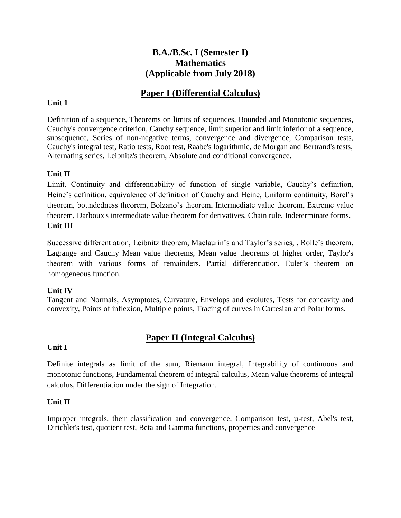# **B.A./B.Sc. I (Semester I) Mathematics (Applicable from July 2018)**

# **Paper I (Differential Calculus)**

### **Unit 1**

Definition of a sequence, Theorems on limits of sequences, Bounded and Monotonic sequences, Cauchy's convergence criterion, Cauchy sequence, limit superior and limit inferior of a sequence, subsequence, Series of non-negative terms, convergence and divergence, Comparison tests, Cauchy's integral test, Ratio tests, Root test, Raabe's logarithmic, de Morgan and Bertrand's tests, Alternating series, Leibnitz's theorem, Absolute and conditional convergence.

### **Unit II**

Limit, Continuity and differentiability of function of single variable, Cauchy's definition, Heine's definition, equivalence of definition of Cauchy and Heine, Uniform continuity, Borel's theorem, boundedness theorem, Bolzano's theorem, Intermediate value theorem, Extreme value theorem, Darboux's intermediate value theorem for derivatives, Chain rule, Indeterminate forms. **Unit III**

Successive differentiation, Leibnitz theorem, Maclaurin's and Taylor's series, , Rolle's theorem, Lagrange and Cauchy Mean value theorems, Mean value theorems of higher order, Taylor's theorem with various forms of remainders, Partial differentiation, Euler's theorem on homogeneous function.

### **Unit IV**

Tangent and Normals, Asymptotes, Curvature, Envelops and evolutes, Tests for concavity and convexity, Points of inflexion, Multiple points, Tracing of curves in Cartesian and Polar forms.

# **Paper II (Integral Calculus)**

### **Unit I**

Definite integrals as limit of the sum, Riemann integral, Integrability of continuous and monotonic functions, Fundamental theorem of integral calculus, Mean value theorems of integral calculus, Differentiation under the sign of Integration.

### **Unit II**

Improper integrals, their classification and convergence, Comparison test, µ-test, Abel's test, Dirichlet's test, quotient test, Beta and Gamma functions, properties and convergence